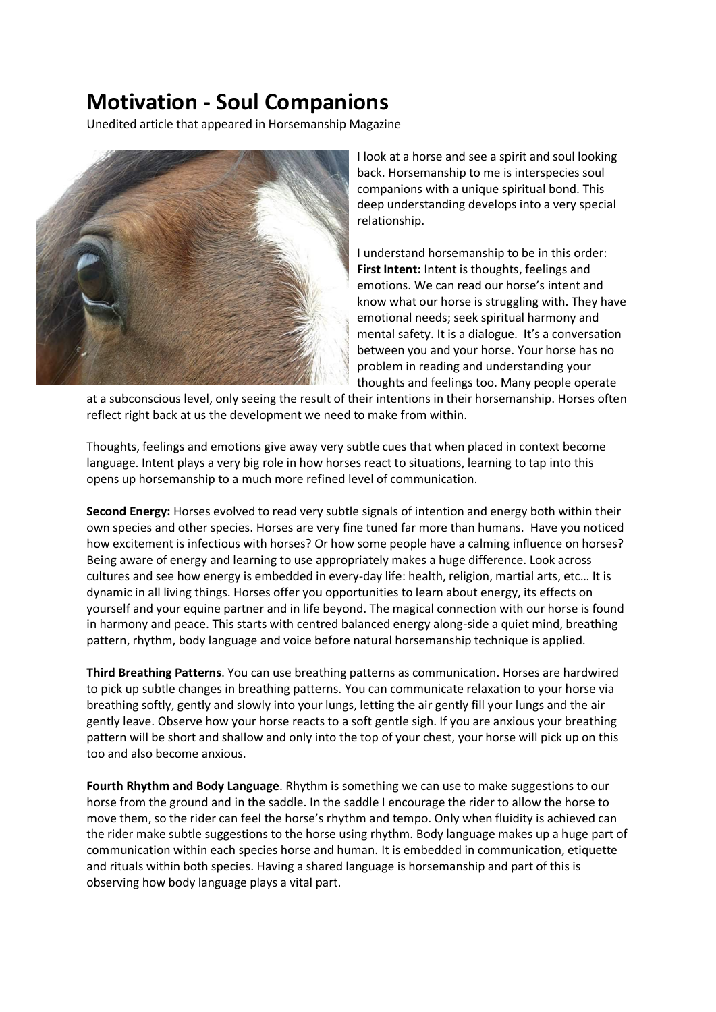## **Motivation - Soul Companions**

Unedited article that appeared in Horsemanship Magazine



I look at a horse and see a spirit and soul looking back. Horsemanship to me is interspecies soul companions with a unique spiritual bond. This deep understanding develops into a very special relationship.

I understand horsemanship to be in this order: **First Intent:** Intent is thoughts, feelings and emotions. We can read our horse's intent and know what our horse is struggling with. They have emotional needs; seek spiritual harmony and mental safety. It is a dialogue. It's a conversation between you and your horse. Your horse has no problem in reading and understanding your thoughts and feelings too. Many people operate

at a subconscious level, only seeing the result of their intentions in their horsemanship. Horses often reflect right back at us the development we need to make from within.

Thoughts, feelings and emotions give away very subtle cues that when placed in context become language. Intent plays a very big role in how horses react to situations, learning to tap into this opens up horsemanship to a much more refined level of communication.

**Second Energy:** Horses evolved to read very subtle signals of intention and energy both within their own species and other species. Horses are very fine tuned far more than humans. Have you noticed how excitement is infectious with horses? Or how some people have a calming influence on horses? Being aware of energy and learning to use appropriately makes a huge difference. Look across cultures and see how energy is embedded in every-day life: health, religion, martial arts, etc… It is dynamic in all living things. Horses offer you opportunities to learn about energy, its effects on yourself and your equine partner and in life beyond. The magical connection with our horse is found in harmony and peace. This starts with centred balanced energy along-side a quiet mind, breathing pattern, rhythm, body language and voice before natural horsemanship technique is applied.

**Third Breathing Patterns**. You can use breathing patterns as communication. Horses are hardwired to pick up subtle changes in breathing patterns. You can communicate relaxation to your horse via breathing softly, gently and slowly into your lungs, letting the air gently fill your lungs and the air gently leave. Observe how your horse reacts to a soft gentle sigh. If you are anxious your breathing pattern will be short and shallow and only into the top of your chest, your horse will pick up on this too and also become anxious.

**Fourth Rhythm and Body Language**. Rhythm is something we can use to make suggestions to our horse from the ground and in the saddle. In the saddle I encourage the rider to allow the horse to move them, so the rider can feel the horse's rhythm and tempo. Only when fluidity is achieved can the rider make subtle suggestions to the horse using rhythm. Body language makes up a huge part of communication within each species horse and human. It is embedded in communication, etiquette and rituals within both species. Having a shared language is horsemanship and part of this is observing how body language plays a vital part.